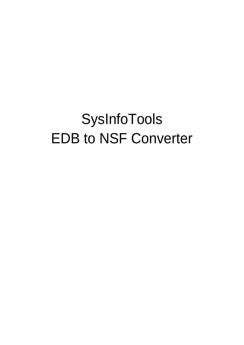# SysInfoTools EDB to NSF Converter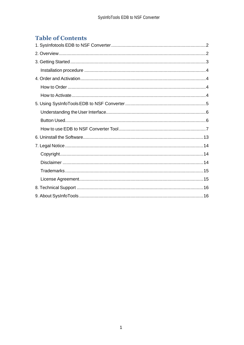# **Table of Contents**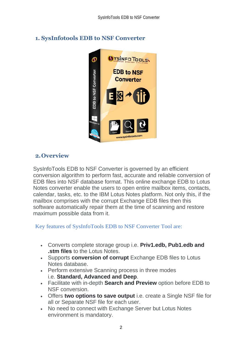

# <span id="page-2-0"></span>**1. SysInfotools EDB to NSF Converter**

## <span id="page-2-1"></span>**2.Overview**

SysInfoTools EDB to NSF Converter is governed by an efficient conversion algorithm to perform fast, accurate and reliable conversion of EDB files into NSF database format. This online exchange EDB to Lotus Notes converter enable the users to open entire mailbox items, contacts, calendar, tasks, etc. to the IBM Lotus Notes platform. Not only this, if the mailbox comprises with the corrupt Exchange EDB files then this software automatically repair them at the time of scanning and restore maximum possible data from it.

Key features of SysInfoTools EDB to NSF Converter Tool are:

- Converts complete storage group i.e. **Priv1.edb, Pub1.edb and .stm files** to the Lotus Notes.
- Supports **conversion of corrupt** Exchange EDB files to Lotus Notes database.
- Perform extensive Scanning process in three modes i.e. **Standard, Advanced and Deep**.
- Facilitate with in-depth **Search and Preview** option before EDB to NSF conversion.
- Offers **two options to save output** i.e. create a Single NSF file for all or Separate NSF file for each user.
- No need to connect with Exchange Server but Lotus Notes environment is mandatory.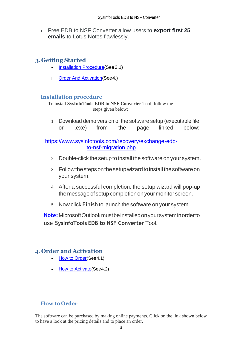• Free EDB to NSF Converter allow users to **export first 25 emails** to Lotus Notes flawlessly.

## <span id="page-3-0"></span>**3.Getting Started**

- [Installation Procedure\(](#page-3-1)See 3.1)
- Order And Activation (See 4.)

## <span id="page-3-1"></span>**Installation procedure**

To install **SysInfoTools EDB to NSF Converter** Tool, follow the steps given below:

1. Download demo version of the software setup (executable file or .exe) from the page linked below:

[https://www.sysinfotools.com/recovery/exchange-edb](https://www.sysinfotools.com/recovery/exchange-edb-to-nsf-migration.php)[to-nsf-migration.php](https://www.sysinfotools.com/recovery/exchange-edb-to-nsf-migration.php)

- 2. Double-click the setup to install the software onyour system.
- 3. Follow the steps on the setup wizard to install the software on your system.
- 4. After a successful completion, the setup wizard will pop-up the message of setup completion on your monitor screen.
- 5. Now click **Finish** to launch the software on your system.

**Note:**MicrosoftOutlookmustbeinstalledonyoursysteminorderto use **SysInfoTools EDB to NSF Converter** Tool.

# <span id="page-3-2"></span>**4. Order and Activation**

- [How to Order](#page-3-3)(See4.1)
- **[How to Activate](#page-4-0) (See 4.2)**

## <span id="page-3-3"></span>**How to Order**

The software can be purchased by making online payments. Click on the link shown below to have a look at the pricing details and to place an order.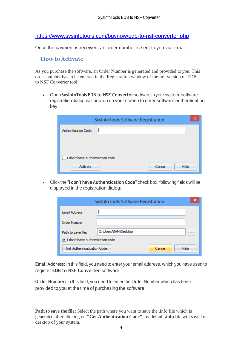<https://www.sysinfotools.com/buynow/edb-to-nsf-converter.php>

Once the payment is received, an order number is sent to you via e-mail.

#### <span id="page-4-0"></span>**How to Activate**

As you purchase the software, an Order Number is generated and provided to you. This order number has to be entered in the Registration window of the full version of EDB to NSF Converter tool.

• Open **SysInfoTools EDB to NSF Converter** software in your system, software registration dialog will pop-up on your screen to enter software authentication key.

| SysInfoTools Software Registration | × |
|------------------------------------|---|
| Authentication Code:               |   |
|                                    |   |
|                                    |   |
| I don't have authentication code   |   |
| Cancel<br>Activate<br>Help         |   |

• Click the **"I don't have Authentication Code"** check box, following fields will be displayed in the registration dialog:

| SysInfoTools Software Registration |                          |  |  |  |  |
|------------------------------------|--------------------------|--|--|--|--|
| Email Address:                     |                          |  |  |  |  |
| Order Number:                      |                          |  |  |  |  |
| Path to save file:                 | C:\Users\SAM\Desktop<br> |  |  |  |  |
| I don't have authentication code   |                          |  |  |  |  |
| Get Authenticatication Code        | Cancel<br>Help           |  |  |  |  |

**Email Address:** In this field, you need to enter your email address, which you have used to register **EDB to NSF Converter** software.

**Order Number:** In this field, you need to enter the Order Number which has been provided to you at the time of purchasing the software.

**Path to save the file:** Select the path where you want to save the .info file which is generated after clicking on **"Get Authentication Code"**, by default **.info** file will saved on desktop of your system.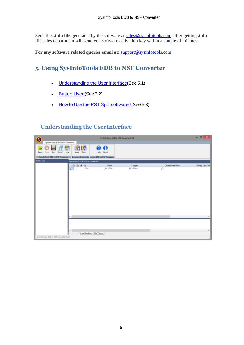Send this **.info file** generated by the software at [sales@sysinfotools.com,](mailto:sales@sysinfotools.com) after getting **.info** file sales department will send you software activation key within a couple of minutes.

**For any software related queries email at:** [support@sysinfotools.com](mailto:support@sysinfotools.com)

# <span id="page-5-0"></span>**5. Using SysInfoTools EDB to NSF Converter**

- [Understanding](#page-5-1) the User Interface (See 5.1)
- [Button Used](#page-5-2)(See 5.2)
- How to Use the PST Split [software?](#page-6-0)(See 5.3)

## <span id="page-5-1"></span>**Understanding the UserInterface**

<span id="page-5-2"></span>

| $\mathbf 0$                             |                                   |                                               | SystemoTools EDB to NSF Converter(Full) |          |   |                   | $   x$          |
|-----------------------------------------|-----------------------------------|-----------------------------------------------|-----------------------------------------|----------|---|-------------------|-----------------|
| SysinfoTools EDB to NSF Converter       |                                   |                                               |                                         |          |   |                   |                 |
| 쪖<br>Save Export<br>Log<br>Open<br>Stop | 闭闭<br>Save<br>Load                | $\bf o$<br>æ<br>Help About                    |                                         |          |   |                   |                 |
| SystemoTools EDB to NSF Converter       |                                   | Recovery Snapshots About EDB to NSF Converter |                                         |          |   |                   |                 |
| <b>Folder List</b>                      | Systemologis EDB to NSF Converter |                                               |                                         |          |   |                   |                 |
|                                         | 4 2 0 8 To                        | From                                          |                                         | Subject  |   | Created Date/Time | Modify Date/Tim |
|                                         | cRitera<br>ø                      | O client                                      |                                         | Office Q | ø |                   |                 |
|                                         |                                   |                                               |                                         |          |   |                   |                 |
|                                         |                                   |                                               |                                         |          |   |                   |                 |
|                                         |                                   |                                               |                                         |          |   |                   |                 |
|                                         |                                   |                                               |                                         |          |   |                   |                 |
|                                         |                                   |                                               |                                         |          |   |                   |                 |
|                                         |                                   |                                               |                                         |          |   |                   |                 |
|                                         |                                   |                                               |                                         |          |   |                   |                 |
|                                         |                                   |                                               |                                         |          |   |                   |                 |
|                                         |                                   |                                               |                                         |          |   |                   |                 |
|                                         |                                   |                                               |                                         |          |   |                   |                 |
|                                         |                                   |                                               |                                         |          |   |                   |                 |
|                                         |                                   |                                               |                                         |          |   |                   |                 |
|                                         | $\leftarrow$                      |                                               |                                         |          |   |                   | $\rightarrow$   |
|                                         |                                   |                                               |                                         |          |   |                   |                 |
|                                         |                                   |                                               |                                         |          |   |                   |                 |
|                                         |                                   |                                               |                                         |          |   |                   |                 |
|                                         | ĸ                                 | Log Window / File Viewer                      |                                         |          |   |                   | $\,$            |
| Systemologis EDB to NSF Converter(Full) |                                   |                                               |                                         |          |   |                   |                 |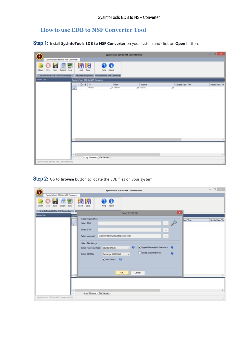## <span id="page-6-0"></span>**How to use EDB to NSF Converter Tool**

**Step 1:** Install **SysInfoTools EDB to NSF Converter** on your system and click on **Open** button.

|                                           |                                                        | SystemoTools EDB to NSF Converter(Full) |                     |                        | $   x$                |
|-------------------------------------------|--------------------------------------------------------|-----------------------------------------|---------------------|------------------------|-----------------------|
| SysinfoTools EDB to NSF Converter         |                                                        |                                         |                     |                        |                       |
| Save<br>Open<br>Stop<br>Export            | 划闭<br>靈<br>Save<br>Log<br>Load                         | 00<br>Help About                        |                     |                        |                       |
| SystemoTools EDB to NSF Converter         | Recovery Snapshots About EDB to NSF Converter          |                                         |                     |                        |                       |
| <b>Folder List</b>                        | SysinfoTools EDB to NSF Converter                      |                                         |                     |                        |                       |
|                                           | $\bullet$ 0 6 70<br>×<br>cReo<br>Q                     | From<br>$\rho$ dilan                    | Subject<br>O chiano | Created Date/Time<br>ø | Modify Date/Tim       |
| Systerfolloots EDB to NSF Converter(Full) | $\leftarrow$<br>€<br>Log Window / File Viewer<br>$-10$ |                                         |                     |                        | $\rightarrow$<br>$\,$ |

**Step 2:** Go to **browse** button to locate the EDB files on your system.

|                                                   | SysInfoTools EDB to NSF Converter(Full)                                                                                                                                                                                                                                                                                                                                                                                                                   | $   -$          |
|---------------------------------------------------|-----------------------------------------------------------------------------------------------------------------------------------------------------------------------------------------------------------------------------------------------------------------------------------------------------------------------------------------------------------------------------------------------------------------------------------------------------------|-----------------|
| SysinfoTools EDB to NSF Converter                 |                                                                                                                                                                                                                                                                                                                                                                                                                                                           |                 |
| 靈<br>Save<br><b>Export</b><br>Log<br>Open<br>Stop | 閉<br>闭<br>0<br>28<br>Save<br>Help About<br>Load                                                                                                                                                                                                                                                                                                                                                                                                           |                 |
| SystemoTools EDB to NSF Converter                 | $\mathbf x$<br>Select EDB file                                                                                                                                                                                                                                                                                                                                                                                                                            |                 |
| <b>Folder List</b>                                | System<br>Select required files:<br>lete/Time<br>z.<br>$\curvearrowright$<br>Select EDB<br><b>The County</b><br>i Q<br>Select STM<br>$\sim$<br>C:\Users\admin\AppOata\Local\Temp\<br>Select temp path:<br>$\sim$<br>Select File Settings:<br>Support Non-english characters @<br>$v$ $\theta$<br>Select Recovery Mode:<br>Standard Mode<br>Handle Alignment errors<br>$\theta$<br>Select EDB File<br>Exchange 2000/2003<br>$\vee$<br>Auto Detect <b>@</b> | Modify Date/Tim |
|                                                   | OK<br>Cancel<br>$\leftarrow$                                                                                                                                                                                                                                                                                                                                                                                                                              |                 |
| Systemoloots EDB to NSF Converter(Full)           | €<br>Log Window / File Viewer                                                                                                                                                                                                                                                                                                                                                                                                                             | $\,$            |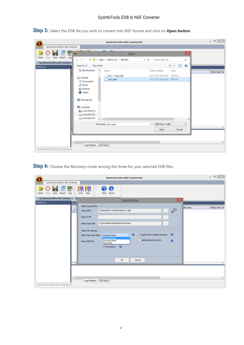| $1 - 2x + 2x$<br>쪲<br>×<br>Open<br>$\bullet$<br>Save Export<br>Log<br>Stop<br>$\textcircled{+}$ $\textcircled{+}$ $\textcircled{+}$ $\textcircled{+}$ $\textcircled{+}$ $\textcircled{+}$ $\textcircled{+}$ $\textcircled{+}$ $\textcircled{+}$ $\textcircled{+}$ $\textcircled{+}$ $\textcircled{+}$ $\textcircled{+}$ $\textcircled{+}$ $\textcircled{+}$ $\textcircled{+}$ $\textcircled{+}$ $\textcircled{+}$ $\textcircled{+}$ $\textcircled{+}$ $\textcircled{+}$ $\textcircled{+}$<br>Search edb files<br>$\vee$ $\circ$<br>٩<br>三、 国<br>$\mathbf{a}$<br>New folder<br>Organise -<br><b>SEL Recent places</b><br>$\boldsymbol{\kappa}$<br>Name<br>Date modified<br>Type<br>Modify Date/Tim<br>priv1 - Copy.edb<br>8/27/2013 10:42 AM EDB File<br><b>Da Libraries</b><br>priv1.edb<br>8/27/2013 10:42 AM EDB File<br><b>B</b> Documents<br>$M$ Music<br><b>No Pictures</b><br>Wideos<br>ed Homegroup<br><b>N</b> Computer<br>Local Disk (C:)<br>Local Disk (E)<br>Local Disk (F:)<br>$v \le$<br>.EDB Files (".edb)<br>File name: priv1.edb<br>$\vee$<br>$\omega$<br>Open<br>Cancel | SysinfoTools EDB to NSF Converter | SystemoTools EDB to NSF Converter(Full) |  |
|------------------------------------------------------------------------------------------------------------------------------------------------------------------------------------------------------------------------------------------------------------------------------------------------------------------------------------------------------------------------------------------------------------------------------------------------------------------------------------------------------------------------------------------------------------------------------------------------------------------------------------------------------------------------------------------------------------------------------------------------------------------------------------------------------------------------------------------------------------------------------------------------------------------------------------------------------------------------------------------------------------------------------------------------------------------------------------------|-----------------------------------|-----------------------------------------|--|
|                                                                                                                                                                                                                                                                                                                                                                                                                                                                                                                                                                                                                                                                                                                                                                                                                                                                                                                                                                                                                                                                                          |                                   |                                         |  |
| Open<br>SystemoTools EDB to NSF Converter<br>Folder List                                                                                                                                                                                                                                                                                                                                                                                                                                                                                                                                                                                                                                                                                                                                                                                                                                                                                                                                                                                                                                 |                                   |                                         |  |
|                                                                                                                                                                                                                                                                                                                                                                                                                                                                                                                                                                                                                                                                                                                                                                                                                                                                                                                                                                                                                                                                                          |                                   |                                         |  |
|                                                                                                                                                                                                                                                                                                                                                                                                                                                                                                                                                                                                                                                                                                                                                                                                                                                                                                                                                                                                                                                                                          |                                   |                                         |  |
|                                                                                                                                                                                                                                                                                                                                                                                                                                                                                                                                                                                                                                                                                                                                                                                                                                                                                                                                                                                                                                                                                          |                                   |                                         |  |
|                                                                                                                                                                                                                                                                                                                                                                                                                                                                                                                                                                                                                                                                                                                                                                                                                                                                                                                                                                                                                                                                                          |                                   |                                         |  |
|                                                                                                                                                                                                                                                                                                                                                                                                                                                                                                                                                                                                                                                                                                                                                                                                                                                                                                                                                                                                                                                                                          |                                   |                                         |  |
|                                                                                                                                                                                                                                                                                                                                                                                                                                                                                                                                                                                                                                                                                                                                                                                                                                                                                                                                                                                                                                                                                          |                                   |                                         |  |
|                                                                                                                                                                                                                                                                                                                                                                                                                                                                                                                                                                                                                                                                                                                                                                                                                                                                                                                                                                                                                                                                                          |                                   |                                         |  |
|                                                                                                                                                                                                                                                                                                                                                                                                                                                                                                                                                                                                                                                                                                                                                                                                                                                                                                                                                                                                                                                                                          |                                   |                                         |  |

**Step 3:** Select the EDB file you wish to convert into NSF format and click on **Open button**.

**Step 4:** Choose the Recovery mode among the three for your selected EDB files.

| SystemoTools EDB to NSF Converter(Full)                                                                                                                                                                                                                                                                                                                                                                                                                                                                                       | $  \sqrt{2}$                 |
|-------------------------------------------------------------------------------------------------------------------------------------------------------------------------------------------------------------------------------------------------------------------------------------------------------------------------------------------------------------------------------------------------------------------------------------------------------------------------------------------------------------------------------|------------------------------|
| SysinfoTools EDB to NSF Converter                                                                                                                                                                                                                                                                                                                                                                                                                                                                                             |                              |
| 闭<br>閉<br>쩂<br>$\mathbf 0$<br>D<br>Save<br>Help About<br>Save<br>Export<br>Log<br>Load<br>Open<br>Stop                                                                                                                                                                                                                                                                                                                                                                                                                        |                              |
| SystemoTools EDB to NSF Converter<br>$\mathbf{\times}$<br>Select EDB file<br><b>Folder List</b>                                                                                                                                                                                                                                                                                                                                                                                                                               |                              |
| System<br>Select required files:<br>$\mathcal{A}$<br>₽<br>E:\data\edb to nsf\edb files\priv1.edb<br>ا هر<br>Select EDB<br>$\sim$<br>Select STM<br>$\sim$<br>C:\Lisers\admin\AppData\Local\Temp\<br>Select temp path:<br>$\sim$<br>Select File Settings:<br>$\theta$<br>Support Non-english characters<br>$\bullet$<br>Standard Mode<br>Select Recovery Mode:<br>w<br><b>Standard Mode</b><br>Handle Alignment errors<br><b>Advanced Mode</b><br>$\ddot{\mathbf{e}}$<br>Select EDB File<br>Deep Mode<br>Auto Detect <b>+ B</b> | late/Time<br>Modify Date/Tim |
| <b>OK</b><br>Cancel<br>$\leftarrow$                                                                                                                                                                                                                                                                                                                                                                                                                                                                                           |                              |
| $\epsilon$<br>Log Window / File Viewer<br>$-1$                                                                                                                                                                                                                                                                                                                                                                                                                                                                                | $\rightarrow$                |
| Systemologis EDB to NSF Converter(Full)                                                                                                                                                                                                                                                                                                                                                                                                                                                                                       | $\mathcal{A}$                |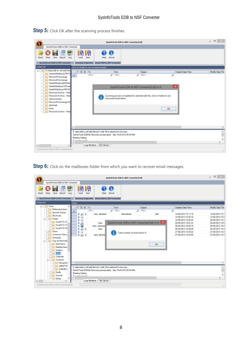|                                                                                                                                                                                                                                                                                                                                                            |                                             | SysInfoTools EDB to NSF Converter(Full)                                                                                                                                      |                                                                                                                                                  |                              | $ \Box$<br>$\mathbf{x}$  |
|------------------------------------------------------------------------------------------------------------------------------------------------------------------------------------------------------------------------------------------------------------------------------------------------------------------------------------------------------------|---------------------------------------------|------------------------------------------------------------------------------------------------------------------------------------------------------------------------------|--------------------------------------------------------------------------------------------------------------------------------------------------|------------------------------|--------------------------|
| SysinfoTools EDB to NSF Converter                                                                                                                                                                                                                                                                                                                          |                                             |                                                                                                                                                                              |                                                                                                                                                  |                              |                          |
| <b>STE</b><br>Stop<br>Log<br>Open<br>Save<br>Export<br>SystemoTools EDB to NSF Converter                                                                                                                                                                                                                                                                   | 闭<br>閉<br>Save<br>Load                      | G<br>Help<br>About<br>Recovery Snapshots About EDB to NSF Converter                                                                                                          |                                                                                                                                                  |                              |                          |
| Folder List                                                                                                                                                                                                                                                                                                                                                | Click on folder to see recovered emails.    |                                                                                                                                                                              |                                                                                                                                                  |                              |                          |
| □ UV E\data\edb to nsf\edb file<br>SystemMailbox(e79913)<br>Microsoft Exchange<br>Microsoft Exchange<br>HealthMailboxf94383b-<br>HealthMailbox210f1ea8<br>HealthMailboxe7991302<br>Personal Archive - Heal<br>Personal Archive - Heal<br>$\Box$<br>Administrator<br>Microsoft Exchange Mi<br><b>Division</b><br><b>Die hany</b><br>Personal Archive - Heal | clike                                       | <b>From</b><br>O cFiber><br>recovered email items.                                                                                                                           | Subject<br>O chilero<br>SysInfoTools EDB to NSF Converter(Full) v1.0<br>Scanning process completed for selected edb file, click on folder to see | Created Date/Time<br>ø<br>OK | Modify Date/Tim          |
|                                                                                                                                                                                                                                                                                                                                                            | ¢                                           |                                                                                                                                                                              |                                                                                                                                                  |                              |                          |
| $\,$<br>$\epsilon$                                                                                                                                                                                                                                                                                                                                         | Reading Catalog<br><b>Tennissipa annual</b> | E:\data\edb to naf\edb files\priv1.edb File is selected for recovery<br>Sysinfo Tools EDB file Recovery process starts. Sep-19-2014(10-40-39-AM)<br>Log Window / File Viewer |                                                                                                                                                  |                              | ×.<br>v<br>$\rightarrow$ |
| Systemologis EDB to NSF Converter(Full)                                                                                                                                                                                                                                                                                                                    |                                             |                                                                                                                                                                              |                                                                                                                                                  |                              |                          |

**Step 5:** Click OK after the scanning process finishes.

**Step 6**: Click on the mailboxes folder from which you want to recover email messages.

|                                                                                                                                                                                                                                                                                                                                                                                                                           |                                                                                                                                                                                                                                                                          | SystemoTools EDB to NSF Converter(Full)                                                                                                |                                        |                                                                                                                                                                                                                | $   -$                                                                                                                                                                  |
|---------------------------------------------------------------------------------------------------------------------------------------------------------------------------------------------------------------------------------------------------------------------------------------------------------------------------------------------------------------------------------------------------------------------------|--------------------------------------------------------------------------------------------------------------------------------------------------------------------------------------------------------------------------------------------------------------------------|----------------------------------------------------------------------------------------------------------------------------------------|----------------------------------------|----------------------------------------------------------------------------------------------------------------------------------------------------------------------------------------------------------------|-------------------------------------------------------------------------------------------------------------------------------------------------------------------------|
| SysinfoTools EDB to NSF Converter<br>and<br>100<br>Stop<br>Log<br>Open<br>Export<br>Save<br>SysinfoTools EDB to NSF Converter<br><b>Folder List</b><br>G-C Nerry<br>Deferred Action<br>Spooler Queue<br>Shortcuts<br>G- Finder<br>OwaFV15.1T.<br>$-\Box$ OwaPV15.1T.<br>OwaFV15.1FI<br>$\Box$ $\Box$ Views<br>Common Views<br><b>Schedule</b><br><b>Co</b> Top of Informati<br>Sent Items<br>Deleted Item<br>-City Outbox | 圀<br>侽<br>Save<br>Load<br>Help<br>Recovery Snapshots About EDB to NSF Converter<br>Inbox<br>100T <sub>o</sub><br>cliters<br>hany; abhishek.<br>330<br>幽<br>s<br>Θ<br>s<br>山間<br>hany<br>õ<br>harry; Administr<br>s<br>630<br>harry<br>s<br>63<br>ı<br>hany; abhishe<br>u | G<br>Albout<br>From<br>$\rho$ dilun<br>Administrator<br>SysInfoTools EDB to NSF Converter(Full) v1.0<br>Total number of email items: 8 | Subject<br>$\rho$ chian<br>hello<br>OK | Created Date/Time<br>۵<br>14/08/2013 15:17:18<br>14/08/2013 15:20:16<br>14/08/2013 15:20:24<br>26/08/2013 18:01:23<br>26/08/2013 18:09:19<br>26/08/2013 18:40:08<br>27/08/2013 10:25:22<br>27/08/2013 10:34:55 | Modify Date/Tim<br>14/08/2013 15:1<br>14/08/2013 15:2<br>26/08/2013 18:1<br>26/08/2013 18:0<br>26/08/2013 18:0<br>26/08/2013 18:4<br>27/08/2013 10:2<br>27/08/2013 10:3 |
| $-\Box$ $\Box$ $\Box$<br>Calendar<br><b>B-Contacts</b><br>Recipient<br>$  [0696779]$<br>A962BC<br><b>Drafts</b><br>Dist Journal<br>$\neg$ $\Box$ Notes<br>$\leftarrow$<br>Systemologis EDB to NSF Converter(Full)                                                                                                                                                                                                         | $\leq$<br>E'data'edb to nel'edb files'priv'l edb File is selected for recovery<br>Sysinfo Tools EDB file Recovery process starts. Sep-19-2014(10-40-39-AM)<br>Reading Catalog<br><b>Tennissipa annual</b><br>Log Window / File Viewer                                    |                                                                                                                                        |                                        |                                                                                                                                                                                                                | $\hat{ }$<br>$\rightarrow$                                                                                                                                              |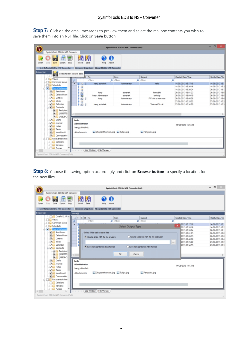**Step 7:** Click on the email messages to preview them and select the mailbox contents you wish to save them into an NSF file. Click on **Save** button.

| $\mathbf 0$                                                                                                                            |                                                                                       | System Tools EDB to NSF Converter(Full) |                                  |                                            | $   -$                             |
|----------------------------------------------------------------------------------------------------------------------------------------|---------------------------------------------------------------------------------------|-----------------------------------------|----------------------------------|--------------------------------------------|------------------------------------|
| SystefoTools EDB to NSF Converter                                                                                                      |                                                                                       |                                         |                                  |                                            |                                    |
| 29<br><b>Kos</b><br>Open<br>Save<br>Stop<br>Log<br>Export<br>SysinfoTools EDB to NSF Converter                                         | 闭<br>踘<br>Øð<br>Save<br>Load<br>Help<br>Recovery Snapshots About EDB to NSF Converter | $\bullet$<br>About                      |                                  |                                            |                                    |
| Folder List                                                                                                                            |                                                                                       |                                         |                                  |                                            |                                    |
| Select folders to save data.<br>49.10<br>л<br><b>News</b>                                                                              | $-10$                                                                                 | <b>From</b>                             | Subject                          | Created Date/Time                          | Modify Date/Tim                    |
| Common Views                                                                                                                           | cFiber                                                                                | $Q$ dillars                             | O chien                          | ۵                                          |                                    |
| C Schedule                                                                                                                             | hany; abhahek<br>٠<br>$-33.8$                                                         | Administrator                           | helo                             | 14/08/2013 15:17:18                        | 14/08/2013 15:1                    |
| <b>Car Top of Informat</b>                                                                                                             | s<br>a                                                                                |                                         |                                  | 14/08/2013 15:20:16                        | 14/08/2013 15:2                    |
| Sent Items<br>æ.                                                                                                                       | a<br>s                                                                                |                                         |                                  | 14/08/2013 15:20:24                        | 26/08/2013 18:1                    |
| Deleted Item<br>æ.                                                                                                                     | <b>RIP</b><br>hany                                                                    | abhishek                                | from abhi                        | 26/08/2013 18:01:23                        | 26/08/2013 18:0                    |
| ø<br>Outbox                                                                                                                            | s<br>harry: Administrator                                                             | abhishek<br>Administrator               | birthday<br>FW: this is new note | 26/08/2013 18:09:19<br>26/08/2013 18:40:08 | 26/08/2013 18:0                    |
| Ø.<br><b>U</b> Inbax                                                                                                                   | õ<br>530<br>harry                                                                     |                                         |                                  | 27/08/2013 10:25:22                        | 26/08/2013 18:4<br>27/08/2013 10:2 |
| æ.<br><b>G</b> Calendar                                                                                                                | e<br>63<br>s<br>hany; abhishek.<br><b>B</b>                                           | Administrator                           | Test mail To all                 | 27/08/2013 10:34:55                        | 27/08/2013 10:3                    |
| G-C Contacts<br>Recipient<br>$-10696779$<br><b>V 49E2BC</b>                                                                            | ë                                                                                     |                                         |                                  |                                            |                                    |
| <b>Drafts</b><br>VI Journal<br><b>VIG</b> Notes<br><b>File</b> Tasks<br><b>VIC</b> Junk Email<br>Conversation                          | hello<br><b>Administrator</b><br>harry: abhishek<br>Attachments:                      | Chrysanthemum.jpg L. Tulips.jpg         | Penguins.jpg                     | 14/08/2013 15:17:18                        |                                    |
| <b>College Recoverable Iten</b><br>Deletions<br>Versions<br>$\Box$ $\Box$ Purges<br>$\leq$<br>Sysinfolloois EDB to NSF Converter(Full) | Log Window > File Viewer<br>$\sim$                                                    |                                         |                                  |                                            |                                    |

**Step 8:** Choose the saving option accordingly and click on **Browse button** to specify a location for the new files.

| SysInfoTools EDB to NSF Converter(Full)                                                                                                                                                                                                                                                                                                                                                                                                                      |                                                                  | $  \in$ $x$                                                                                 |
|--------------------------------------------------------------------------------------------------------------------------------------------------------------------------------------------------------------------------------------------------------------------------------------------------------------------------------------------------------------------------------------------------------------------------------------------------------------|------------------------------------------------------------------|---------------------------------------------------------------------------------------------|
| SysinfoTools EDB to NSF Converter                                                                                                                                                                                                                                                                                                                                                                                                                            |                                                                  |                                                                                             |
| 開閉<br>m<br>v.<br><b>Loc.</b><br>Save<br>Save<br>Export<br>Load<br>About<br>Open<br>Log<br>Help<br>Recovery Snapshots About EDB to NSF Converter<br>SystemoTools EDB to NSF Converter                                                                                                                                                                                                                                                                         |                                                                  |                                                                                             |
| <b>Folder List</b><br><b>Inbox(III</b>                                                                                                                                                                                                                                                                                                                                                                                                                       |                                                                  |                                                                                             |
| LO OwaPV15.1FI A<br>$\parallel$ $\parallel$ $\parallel$ $\parallel$ $\parallel$ $\parallel$ $\parallel$ $\parallel$<br>Subject<br>From                                                                                                                                                                                                                                                                                                                       | Created Date/Time                                                | Modify Date/Tim                                                                             |
| <b>News</b><br>cliber<br>O chien<br>$\rho$ dilan                                                                                                                                                                                                                                                                                                                                                                                                             | ۹                                                                |                                                                                             |
| Common Views<br>٠<br><b>Confidence</b><br>Select Output Type<br>C. The Top of Informati                                                                                                                                                                                                                                                                                                                                                                      | 12013 15:17:18<br>2013 15:20:16<br>2013 15:20:24                 | 14/08/2013 15:1<br>14/08/2013 15:2                                                          |
| Sent Items<br>Select folder path to save files<br>Deleted Item<br>Create Separate NSF file for each user<br>· Create single NSF file for all users<br>æ.<br>C Outbox<br>×.<br>Inbax                                                                                                                                                                                                                                                                          | 2013 18:01:23<br>2013 18:09:19<br>2013 18:40:08<br>2013 10:25:22 | 26/08/2013 18:1<br>26/08/2013 18:0<br>26/08/2013 18:0<br>26/08/2013 18:4<br>27/08/2013 10:2 |
| C Calendar<br>æ.<br>Save item content in html format<br>· Save item content in text format<br>G-C Contacts<br><b>V</b> Recipient                                                                                                                                                                                                                                                                                                                             | $\mathbf{m}$<br>2013 10:34:55                                    | 27/08/2013 10:3                                                                             |
| OK.<br>$-10606779$<br>Cancel<br>$\epsilon$                                                                                                                                                                                                                                                                                                                                                                                                                   |                                                                  |                                                                                             |
| $\blacktriangledown$ (A9E2BC-<br><b>Drafts</b><br>hello<br>V Journal<br><b>Administrator</b><br>s.<br>Notes<br>harry; abhishek<br>æ.<br><b>C</b> Tasks<br>Chrysanthemum.jpg b Tulips.jpg<br>Penguins.jpg<br><b>Attachments:</b><br>Junk Email<br>Ø.<br>Conversation<br><b>Co. Recoverable iten</b><br>Deletions<br>Versions<br><b>IN Purges</b><br>Log Window > File Viewer<br>$\left\langle \cdot \right\rangle$<br>Systemologis EDB to NSF Converter(Full) | 14/08/2013 15:17:18                                              |                                                                                             |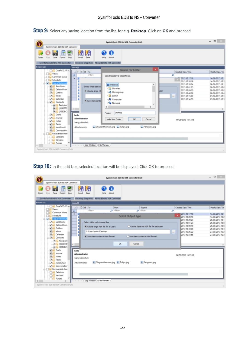**Step 9:** Select any saving location from the list, for e.g. **Desktop**. Click on **OK** and proceed.

|                                                                                                                                                                                                                                                                                                                                                                                                                                                                                                                                                                | SysInfoTools EDB to NSF Converter(Full)                                                                                                                                                                                                                                                                                                                                     |                                                                                                                                          | $-0 x$                                                                                                         |
|----------------------------------------------------------------------------------------------------------------------------------------------------------------------------------------------------------------------------------------------------------------------------------------------------------------------------------------------------------------------------------------------------------------------------------------------------------------------------------------------------------------------------------------------------------------|-----------------------------------------------------------------------------------------------------------------------------------------------------------------------------------------------------------------------------------------------------------------------------------------------------------------------------------------------------------------------------|------------------------------------------------------------------------------------------------------------------------------------------|----------------------------------------------------------------------------------------------------------------|
| SysinfoTools EDB to NSF Converter<br>闭<br>闭<br>$\mathbf{d}$<br>EDG.<br>Save<br>Save<br>Open<br>Export<br>Log<br>Load<br>Stop<br>SystemoTools EDB to NSF Converter<br><b>Folder List</b><br><b>Inbox(8)</b><br>LO OwaPV15.1FLA<br>: 0 8 To<br><b>News</b><br>cliter><br>Common Views<br>٠<br>Schedule                                                                                                                                                                                                                                                           | 0 Q<br>Help<br>About<br>Recovery Snapshots About EDB to NSF Converter<br>×<br><b>Browse For Folder</b><br>Select location to select file(s).                                                                                                                                                                                                                                | Created Date/Time<br>۵<br>2013 15:17:18<br>2013 15:20:16                                                                                 | Modify Date/Tim<br>14/08/2013 15:1<br>14/08/2013 15:2                                                          |
| <b>VIII</b><br>Top of Informat<br>Sent Items<br>ø<br>Deleted Item<br>s<br>☞<br>Outbox<br>C Inbax<br>₩<br>Calendar<br>ø<br><b>D</b> Contacts<br><b>V</b> Recipient<br>$-10696779$<br>$\epsilon$<br>$-449528C$<br><b>Drafts</b><br>hello<br>V Journal<br><b>Administrator</b><br><b>MAG</b> Notes<br>harry: abhishek<br><b>DIN Tasks</b><br><b>Attachments:</b><br><b>DIC</b> Junk Email<br>Conversation<br><b>College Recoverable Iten</b><br>Deletions<br>Versions<br><b>Purges</b><br>$\left\langle \right\rangle$<br>Systemologis EDB to NSF Converter(Full) | <b>Desktop</b><br>A<br>Select folder path to<br><b>Digital Libraries</b><br>· Create single NS<br><b>Ed Homegroup</b><br>$\triangleright$ $R$ admin<br><b>E.</b> Computer<br>· Save item conte<br>- Via Network<br>$\epsilon$<br>Desktop<br>Folder:<br>Make New Folder<br>$\alpha$<br>Cancel<br>Chrysanthemum.jpg L. Tulips.jpg<br>Penguins.jpg<br>Log Window > File Viewer | 2013 15:20:24<br>2013 18:01:23<br>2013 18:09:19<br>Liser<br>2013 18:40:08<br>2013 10:25:22<br>m.<br>2013 10:34:55<br>14/08/2013 15:17:18 | 26/08/2013 18:1<br>26/08/2013 18:0<br>26/08/2013 18:0<br>26/08/2013 18:4<br>27/08/2013 10:2<br>27/08/2013 10:3 |

**Step 10:** In the edit box, selected location will be displayed. Click OK to proceed.

|                                                                                                                                                                                                                                                                                                                                                                                                          | SystemoTools EDB to NSF Converter(Full)                                                                           |                                                                                                                                                   | $  -$                                                                                                                                                |
|----------------------------------------------------------------------------------------------------------------------------------------------------------------------------------------------------------------------------------------------------------------------------------------------------------------------------------------------------------------------------------------------------------|-------------------------------------------------------------------------------------------------------------------|---------------------------------------------------------------------------------------------------------------------------------------------------|------------------------------------------------------------------------------------------------------------------------------------------------------|
| SysinfoTools EDB to NSF Converter                                                                                                                                                                                                                                                                                                                                                                        |                                                                                                                   |                                                                                                                                                   |                                                                                                                                                      |
| 闭<br>鳪<br>勰<br>m<br>Save<br>Save<br>Export<br>Load<br>About<br>Log<br>Help<br>Open<br>Recovery Snapshots About EDB to NSF Converter<br>SystemoTools EDB to NSF Converter                                                                                                                                                                                                                                 |                                                                                                                   |                                                                                                                                                   |                                                                                                                                                      |
| <b>Folder List</b><br><b>Inbox(III</b>                                                                                                                                                                                                                                                                                                                                                                   |                                                                                                                   |                                                                                                                                                   |                                                                                                                                                      |
| University 15, 1Fl A<br>1 0 8 To<br>From                                                                                                                                                                                                                                                                                                                                                                 | Subject                                                                                                           | Created Date/Time                                                                                                                                 | Modify Date/Tim                                                                                                                                      |
| <b>News</b><br>cFiber><br>O cFiber>                                                                                                                                                                                                                                                                                                                                                                      | $\rho$ ditent                                                                                                     | ۵                                                                                                                                                 |                                                                                                                                                      |
| Common Views<br>٠<br>Schedule<br><b>JAN</b><br>Top of Informat<br>Sent Items<br>Select folder path to save files<br>Deleted Item<br>æ.<br>· Create single NSF file for all users<br>æ.<br>C Outbox<br>$\Box$ Inbox<br>C:\Users\admin\Desktop<br>V Calendar<br>· Save item content in text format<br>Contacts<br>V   Recipient<br>$-10696779$<br>€<br>→ (A9E2BC-                                          | Select Output Type<br>Create Separate NSF file for each user<br>Save item content in html format<br>OK.<br>Cancel | (2013 15:17:18)<br>2013 15:20:16<br>2013 15:20:24<br>2013 18:01:23<br>2013 18:09:19<br>2013 18:40:08<br>2013 10:25:22<br>$n = 1$<br>2013 10:34:55 | 14/08/2013 15:1<br>14/08/2013 15:2<br>26/08/2013 18:1<br>26/08/2013 18:0<br>26/08/2013 18:0<br>26/08/2013 18:4<br>27/08/2013 10:2<br>27/08/2013 10:3 |
| C Drafts<br>Ø.<br>hello<br>☞<br>Journal<br><b>Administrator</b><br>Notes<br>M<br>harry; abhishek<br><b>DIN Tasks</b><br>Chrysanthemum.jpg L. Tulips.jpg<br>Attachments:<br><b>D</b> Junk Email<br>Conversation<br><b>College Recoverable Iten</b><br>Deletions<br>Versions<br><b>Purges</b><br>Log Window > File Viewer<br>$\left\langle \cdot \right\rangle$<br>Systemologis EDB to NSF Converter(Full) | Penguins.jpg                                                                                                      | 14/08/2013 15:17:18                                                                                                                               |                                                                                                                                                      |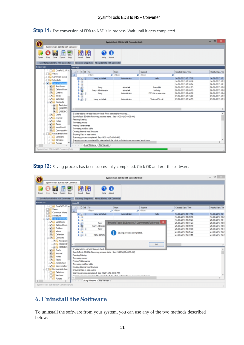$\Box$ SystinfoTools EDB to NSF Converter(Full) O SysinfoTools EDB to NSF Converter  $\frac{1}{100}$ 闭闭 R H Ø  $\mathbf \sigma$ Θ æ Open Stop Save Export  $\overline{\log}$ About Load Save Help SysinfoTools EDB to NSF Converter Recovery Snapshots About EDB to NSF Converter Folder List OwaPV15.1FLA  $100T<sub>o</sub>$ From Subject Created Date/Time Modify Date/Tim Views ø  $\frac{1}{\sqrt{10}}$ ۵ ø Common Views  $3 - 33$   $-3$ hany; abhishek 14/08/2013 15:17:18 14/08/2013 15:1 **O**Schedule<br>**M** Gop of Inf 14/08/2013 15:20:16<br>14/08/2013 15:20:24 14/08/2013 15:2<br>26/08/2013 18:1 ¥ a  $16$ Sent Items  $\frac{1}{100}$ abhishek from abhi 26/08/2013 18:01:23 26/08/2013 18:0 hany Deleted Item harry; Administrato abhishek birthday 26/08/2013 18:09:19 26/08/2013 18:0 V Outbox FW: this is new note 26/08/2013 18:40:08 26/08/2013 18:4 hany Administrato  $\nabla$  inbox 27/08/2013 10:2<br>27/08/2013 10:2 27/08/2013 10:25:22 Calendar  $4500$ 27/08/2013 10:34:55 Test mail To all hany; abhishek vistrato Contacts  $\frac{1}{\sqrt{2}}\frac{1}{\sqrt{2}}$  Recipient  $\begin{array}{r} \hline \begin{array}{r} \hline \begin{array}{r} \hline \begin{array}{r} \hline \begin{array}{r} \hline \begin{array}{r} \hline \end{array} \\ \hline \end{array} \\ \hline \hline \begin{array}{r} \hline \begin{array}{r} \hline \end{array} \\ \hline \end{array} \end{array} \end{array} \end{array}$ E:\data\edb to nef\edb files\priv1.edb File is selected for recovery....<br>SystrifoTools EDB file Recovery process starts. Sep-19-2014(10-40-39-AM)  $\lambda$ V Journal Reading Catalog **VI** Notes Traversing record **DIC** Tasks Finding Table names **DIC** Junk Email Traversing mailSox table<br>Creating Internal tree Structure Conversation Recoverable iten Showing Data in tree control Deletions Scanning process completed. Sep-19-2014(10-40-40-AM) Versions **ITIG** Purges Log Window File Viewer InfoTools EDB to NSE C

**Step 11:** The conversion of EDB to NSF is in process. Wait until it gets completed.

**Step 12**: Saving process has been successfully completed. Click OK and exit the software.

|                                                                                                                                                                                                    |                                                                                                                                                                                                                                                                                                                                                                                                                                                     | SystemoTools EDB to NSF Converter(Full)                                            |                               |                                                                                                                                                                  | $   -$                                                                                                                            |
|----------------------------------------------------------------------------------------------------------------------------------------------------------------------------------------------------|-----------------------------------------------------------------------------------------------------------------------------------------------------------------------------------------------------------------------------------------------------------------------------------------------------------------------------------------------------------------------------------------------------------------------------------------------------|------------------------------------------------------------------------------------|-------------------------------|------------------------------------------------------------------------------------------------------------------------------------------------------------------|-----------------------------------------------------------------------------------------------------------------------------------|
| SysinfoTools EDB to NSF Converter                                                                                                                                                                  |                                                                                                                                                                                                                                                                                                                                                                                                                                                     |                                                                                    |                               |                                                                                                                                                                  |                                                                                                                                   |
| œ<br>Loc.<br>Open<br>Save<br>Log<br>Export<br>SystemoTools EDB to NSF Converter                                                                                                                    | 闭<br>閉<br>Save<br>Load<br>Help<br>Recovery Snapshots About EDB to NSF Converter                                                                                                                                                                                                                                                                                                                                                                     | Œ<br>About                                                                         |                               |                                                                                                                                                                  |                                                                                                                                   |
| Folder List                                                                                                                                                                                        | <b>Inbox(R)</b>                                                                                                                                                                                                                                                                                                                                                                                                                                     |                                                                                    |                               |                                                                                                                                                                  |                                                                                                                                   |
| LO <sub>V</sub> OwaPV15.1FI A<br><b>News</b><br>Common Views<br>Schedule<br><b>VIII</b><br>Top of Informat<br>Sent Items<br>M<br>Deleted Item<br>₩<br>☞<br>Outbox                                  | : 0 8 To<br>cFiber><br>hany; abhishek<br>$-3.5$ $-3$<br>s<br>a<br>s<br>$\alpha$<br>õ<br>a.<br>hany<br>s<br>harry: Administri<br>s<br>630<br>harry                                                                                                                                                                                                                                                                                                   | From<br>O cFibero<br>Administrator<br>SysInfoTools EDB to NSF Converter(Full) v1.0 | Subject<br>O chilero<br>helio | Created Date/Time<br>۵<br>14/08/2013 15:17:18<br>14/08/2013 15:20:16<br>14/08/2013 15:20:24<br>26/08/2013 18:01:23<br>26/08/2013 18:09:19<br>26/08/2013 18:40:08 | Modify Date/Tim<br>14/08/2013 15:1<br>14/08/2013 15:2<br>26/08/2013 18:1<br>26/08/2013 18:0<br>26/08/2013 18:0<br>26/08/2013 18:4 |
| ₩<br>$\Box$ Inbax<br>Calendar<br>₩<br><b>Contacts</b><br><b>V</b> Recipient<br>$-10696779$<br><b>V 4982BC</b><br><b>Drafts</b>                                                                     | s<br>13<br>x<br>630<br>hany; abhishe<br>$\epsilon$<br>E/data/edb to net/edb files/priv1.edb                                                                                                                                                                                                                                                                                                                                                         | Saving process completed.                                                          | <b>OK</b>                     | 27/08/2013 10:25:22<br>27/08/2013 10:34:55                                                                                                                       | 27/08/2013 10:2<br>27/08/2013 10:3                                                                                                |
| V Journal<br><b>VII. Notes</b><br><b>DIGITasks</b><br><b>VI Junk Email</b><br><b>VI</b> Conversation<br><b>Co. Recoverable Iten</b><br><b>Deletions</b><br>Versions<br><b>Purges</b><br>$\epsilon$ | Systrifo Tools EDB file Recovery process starts. Sep-19-2014(10-40-39-AM)<br>Reading Catalog<br>Traversing record<br>Finding Table names<br>Traversing mailBox table<br>Creating Internal tree Structure<br>Showing Data in tree control<br>Scanning process completed. Sep-19-2014(10-40-40-AM)<br>Connective concentration commitment for explanting display film, which can be higher to sum recommend around theme.<br>Log Window / File Viewer |                                                                                    |                               |                                                                                                                                                                  | $\rightarrow$                                                                                                                     |
| Systemologis EDB to NSF Converter(Full)                                                                                                                                                            |                                                                                                                                                                                                                                                                                                                                                                                                                                                     |                                                                                    |                               |                                                                                                                                                                  |                                                                                                                                   |

# <span id="page-11-0"></span>**6. Uninstall theSoftware**

To uninstall the software from your system, you can use any of the two methods described below: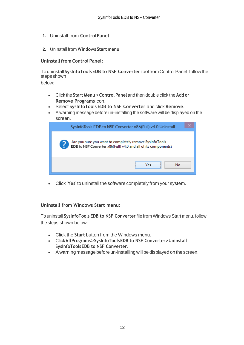- **1.** Uninstall from **ControlPanel**
- **2.** Uninstall from **Windows Start menu**

**Uninstall from Control Panel:** 

Touninstall**SysInfoToolsEDB to NSF Converter** toolfromControlPanel,followthe stepsshown

below:

- Click the **Start Menu** > **Control Panel** and then double click the **Add or Remove Programs** icon.
- Select **SysInfoTools EDB to NSF Converter** and click **Remove**.
- A warning message before un-installing the software will be displayed on the screen.

| $\times$<br>SysInfoTools EDB to NSF Converter x86(Full) v4.0 Uninstall                                                    |
|---------------------------------------------------------------------------------------------------------------------------|
| Are you sure you want to completely remove SysInfoTools<br>EDB to NSF Converter x86(Full) v4.0 and all of its components? |
| <br>No<br>/es                                                                                                             |

• Click **'Yes'** to uninstall the software completely from your system.

#### **Uninstall from Windows Start menu:**

To uninstall **SysInfoTools EDB to NSF Converter** file from Windows Start menu, follow the steps shown below:

- Click the **Start** button from the Windows menu.
- Click**AllPrograms**>**SysInfoToolsEDB to NSF Converter>Uninstall SysInfoToolsEDB to NSF Converter**.
- A warning message before un-installingwill be displayed on the screen.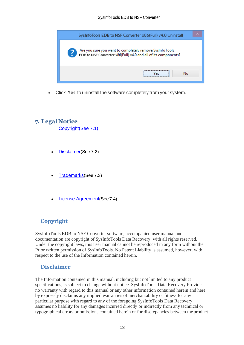

• Click **'Yes'** to uninstall the software completely from your system.

## <span id="page-13-0"></span>**7. Legal Notice**

[Copyright\(](#page-13-1)See 7.1)

- [Disclaimer](#page-13-2)(See 7.2)
- [Trademarks](#page-14-0)(See 7.3)
- [License Agreement](#page-14-1)(See7.4)

# <span id="page-13-1"></span>**Copyright**

SysInfoTools EDB to NSF Converter software, accompanied user manual and documentation are copyright of SysInfoTools Data Recovery, with all rights reserved. Under the copyright laws, this user manual cannot be reproduced in any form without the Prior written permission of SysInfoTools. No Patent Liability is assumed, however, with respect to the use of the Information contained herein.

## <span id="page-13-2"></span>**Disclaimer**

The Information contained in this manual, including but not limited to any product specifications, is subject to change without notice. SysInfoTools Data Recovery Provides no warranty with regard to this manual or any other information contained herein and here by expressly disclaims any implied warranties of merchantability or fitness for any particular purpose with regard to any of the foregoing SysInfoTools Data Recovery assumes no liability for any damages incurred directly or indirectly from any technical or typographical errors or omissions contained herein or for discrepancies between the product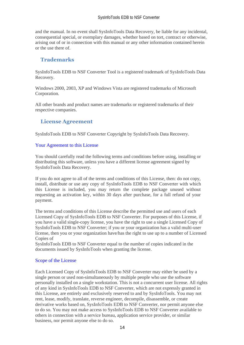and the manual. In no event shall SysInfoTools Data Recovery, be liable for any incidental, consequential special, or exemplary damages, whether based on tort, contract or otherwise, arising out of or in connection with this manual or any other information contained herein or the use there of.

## <span id="page-14-0"></span>**Trademarks**

SysInfoTools EDB to NSF Converter Tool is a registered trademark of SysInfoTools Data Recovery.

Windows 2000, 2003, XP and Windows Vista are registered trademarks of Microsoft Corporation.

All other brands and product names are trademarks or registered trademarks of their respective companies.

## <span id="page-14-1"></span>**License Agreement**

SysInfoTools EDB to NSF Converter Copyright by SysInfoTools Data Recovery.

#### Your Agreement to this License

You should carefully read the following terms and conditions before using, installing or distributing this software, unless you have a different license agreement signed by SysInfoTools Data Recovery.

If you do not agree to all of the terms and conditions of this License, then: do not copy, install, distribute or use any copy of SysInfoTools EDB to NSF Converter with which this License is included, you may return the complete package unused without requesting an activation key, within 30 days after purchase, for a full refund of your payment.

The terms and conditions of this License describe the permitted use and users of each Licensed Copy of SysInfoTools EDB to NSF Converter. For purposes of this License, if you have a valid single-copy license, you have the right to use a single Licensed Copy of SysInfoTools EDB to NSF Converter; if you or your organization has a valid multi-user license, then you or your organization have/has the right to use up to a number of Licensed Copies of

SysInfoTools EDB to NSF Converter equal to the number of copies indicated in the documents issued by SysInfoTools when granting the license.

#### Scope of the License

Each Licensed Copy of SysInfoTools EDB to NSF Converter may either be used by a single person or used non-simultaneously by multiple people who use the software personally installed on a single workstation. This is not a concurrent user license. All rights of any kind in SysInfoTools EDB to NSF Converter, which are not expressly granted in this License, are entirely and exclusively reserved to and by SysInfoTools. You may not rent, lease, modify, translate, reverse engineer, decompile, disassemble, or create derivative works based on, SysInfoTools EDB to NSF Converter, nor permit anyone else to do so. You may not make access to SysInfoTools EDB to NSF Converter available to others in connection with a service bureau, application service provider, or similar business, nor permit anyone else to do so.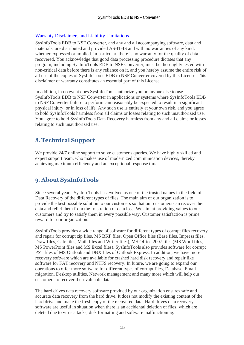#### Warranty Disclaimers and Liability Limitations

SysInfoTools EDB to NSF Converter, and any and all accompanying software, data and materials, are distributed and provided AS-IT-IS and with no warranties of any kind, whether expressed or implied. In particular, there is no warranty for the quality of data recovered. You acknowledge that good data processing procedure dictates that any program, including SysInfoTools EDB to NSF Converter, must be thoroughly tested with non-critical data before there is any reliance on it, and you hereby assume the entire risk of all use of the copies of SysInfoTools EDB to NSF Converter covered by this License. This disclaimer of warranty constitutes an essential part of this License.

In addition, in no event does SysInfoTools authorize you or anyone else to use SysInfoTools EDB to NSF Converter in applications or systems where SysInfoTools EDB to NSF Converter failure to perform can reasonably be expected to result in a significant physical injury, or in loss of life. Any such use is entirely at your own risk, and you agree to hold SysInfoTools harmless from all claims or losses relating to such unauthorized use. You agree to hold SysInfoTools Data Recovery harmless from any and all claims or losses relating to such unauthorized use.

# <span id="page-15-0"></span>**8. Technical Support**

We provide 24/7 online support to solve customer's queries. We have highly skilled and expert support team, who makes use of modernized communication devices, thereby achieving maximum efficiency and an exceptional response time.

# <span id="page-15-1"></span>**9. About SysInfoTools**

Since several years, SysInfoTools has evolved as one of the trusted names in the field of Data Recovery of the different types of files. The main aim of our organization is to provide the best possible solution to our customers so that our customers can recover their data and relief them from the frustration of data loss. We aim at providing values to our customers and try to satisfy them in every possible way. Customer satisfaction is prime reward for our organization.

SysInfoTools provides a wide range of software for different types of corrupt files recovery and repair for corrupt zip files, MS BKF files, Open Office files (Base files, Impress files, Draw files, Calc files, Math files and Writer files), MS Office 2007 files (MS Word files, MS PowerPoint files and MS Excel files). SysInfoTools also provides software for corrupt PST files of MS Outlook and DBX files of Outlook Express. In addition, we have more recovery software which are available for crashed hard disk recovery and repair like software for FAT recovery and NTFS recovery. In future, we are going to expand our operations to offer more software for different types of corrupt files, Database, Email migration, Desktop utilities, Network management and many more which will help our customers to recover their valuable data.

The hard drives data recovery software provided by our organization ensures safe and accurate data recovery from the hard drive. It does not modify the existing content of the hard drive and make the fresh copy of the recovered data. Hard drives data recovery software are useful in situation when there is an accidental deletion of files, which are deleted due to virus attacks, disk formatting and software malfunctioning.